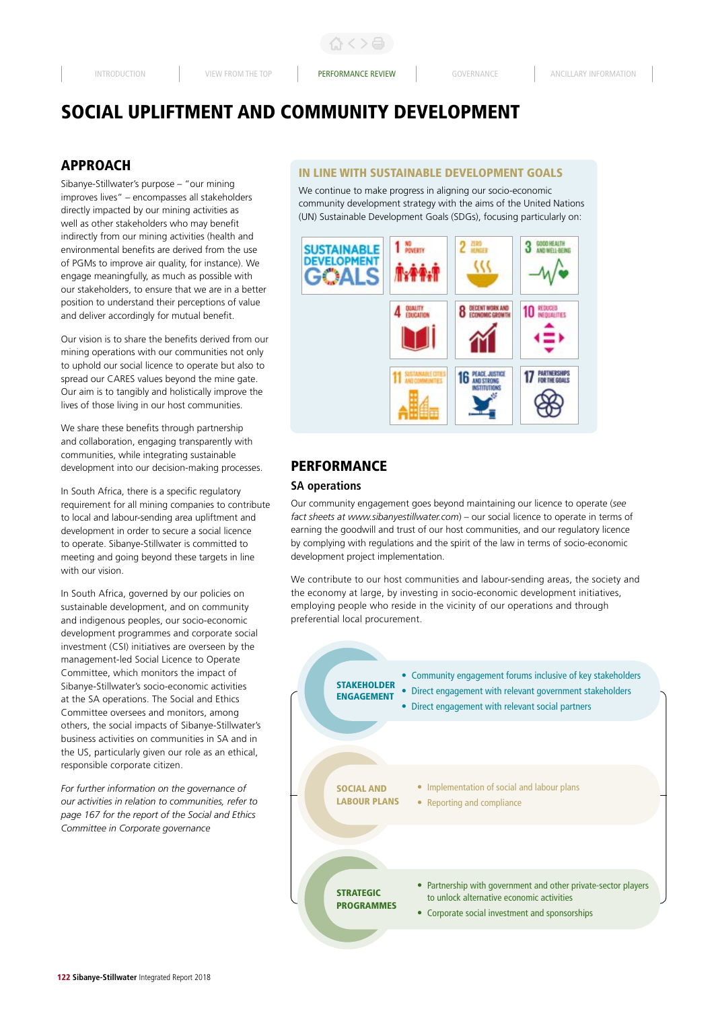# SOCIAL UPLIFTMENT AND COMMUNITY DEVELOPMENT

# APPROACH

Sibanye-Stillwater's purpose – "our mining improves lives" – encompasses all stakeholders directly impacted by our mining activities as well as other stakeholders who may benefit indirectly from our mining activities (health and environmental benefits are derived from the use of PGMs to improve air quality, for instance). We engage meaningfully, as much as possible with our stakeholders, to ensure that we are in a better position to understand their perceptions of value and deliver accordingly for mutual benefit.

Our vision is to share the benefits derived from our mining operations with our communities not only to uphold our social licence to operate but also to spread our CARES values beyond the mine gate. Our aim is to tangibly and holistically improve the lives of those living in our host communities.

We share these benefits through partnership and collaboration, engaging transparently with communities, while integrating sustainable development into our decision-making processes.

In South Africa, there is a specific regulatory requirement for all mining companies to contribute to local and labour-sending area upliftment and development in order to secure a social licence to operate. Sibanye-Stillwater is committed to meeting and going beyond these targets in line with our vision.

In South Africa, governed by our policies on sustainable development, and on community and indigenous peoples, our socio-economic development programmes and corporate social investment (CSI) initiatives are overseen by the management-led Social Licence to Operate Committee, which monitors the impact of Sibanye-Stillwater's socio-economic activities at the SA operations. The Social and Ethics Committee oversees and monitors, among others, the social impacts of Sibanye-Stillwater's business activities on communities in SA and in the US, particularly given our role as an ethical, responsible corporate citizen.

*For further information on the governance of our activities in relation to communities, refer to page 167 for the report of the Social and Ethics Committee in Corporate governance*

## IN LINE WITH SUSTAINABLE DEVELOPMENT GOALS

We continue to make progress in aligning our socio-economic community development strategy with the aims of the United Nations (UN) Sustainable Development Goals (SDGs), focusing particularly on:



# PERFORMANCE

#### **SA operations**

Our community engagement goes beyond maintaining our licence to operate (*see fact sheets at www.sibanyestillwater.com*) – our social licence to operate in terms of earning the goodwill and trust of our host communities, and our regulatory licence by complying with regulations and the spirit of the law in terms of socio-economic development project implementation.

We contribute to our host communities and labour-sending areas, the society and the economy at large, by investing in socio-economic development initiatives, employing people who reside in the vicinity of our operations and through preferential local procurement.

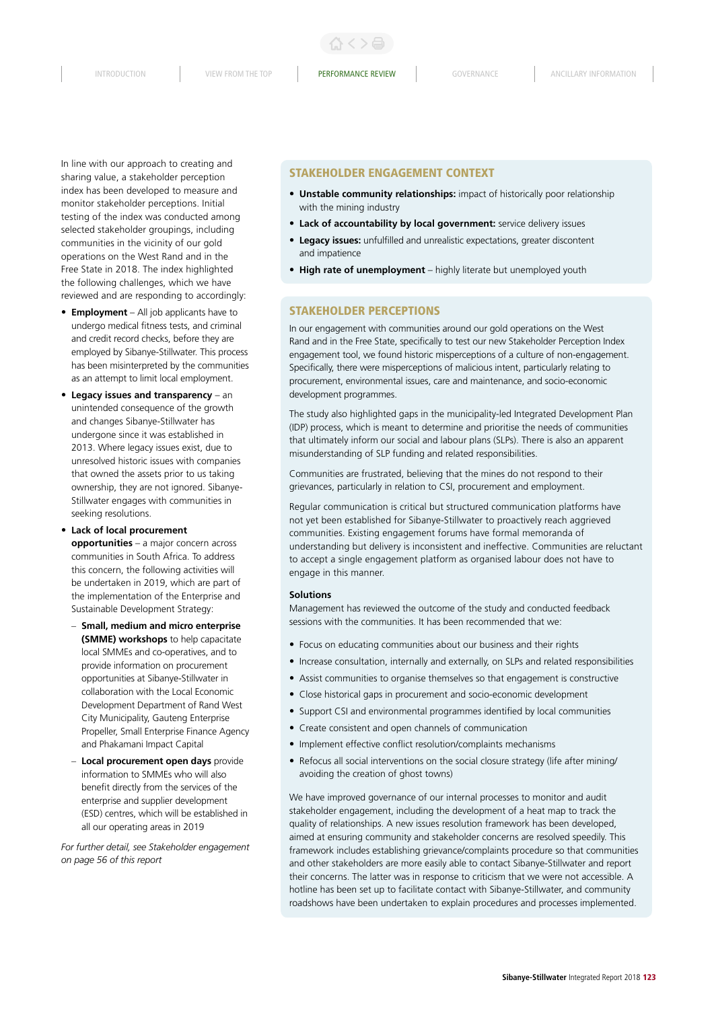INTRODUCTION VIEW FROM THE TOP **PERFORMANCE REVIEW** GOVERNANCE ANCILLARY INFORMATION

In line with our approach to creating and sharing value, a stakeholder perception index has been developed to measure and monitor stakeholder perceptions. Initial testing of the index was conducted among selected stakeholder groupings, including communities in the vicinity of our gold operations on the West Rand and in the Free State in 2018. The index highlighted the following challenges, which we have reviewed and are responding to accordingly:

- **Employment** All job applicants have to undergo medical fitness tests, and criminal and credit record checks, before they are employed by Sibanye-Stillwater. This process has been misinterpreted by the communities as an attempt to limit local employment.
- **Legacy issues and transparency** an unintended consequence of the growth and changes Sibanye-Stillwater has undergone since it was established in 2013. Where legacy issues exist, due to unresolved historic issues with companies that owned the assets prior to us taking ownership, they are not ignored. Sibanye-Stillwater engages with communities in seeking resolutions.

• **Lack of local procurement opportunities** – a major concern across communities in South Africa. To address this concern, the following activities will be undertaken in 2019, which are part of the implementation of the Enterprise and Sustainable Development Strategy:

- **Small, medium and micro enterprise (SMME) workshops** to help capacitate local SMMEs and co-operatives, and to provide information on procurement opportunities at Sibanye-Stillwater in collaboration with the Local Economic Development Department of Rand West City Municipality, Gauteng Enterprise Propeller, Small Enterprise Finance Agency and Phakamani Impact Capital
- **Local procurement open days** provide information to SMMEs who will also benefit directly from the services of the enterprise and supplier development (ESD) centres, which will be established in all our operating areas in 2019

*For further detail, see Stakeholder engagement on page 56 of this report* 

## STAKEHOLDER ENGAGEMENT CONTEXT

- **Unstable community relationships:** impact of historically poor relationship with the mining industry
- **Lack of accountability by local government:** service delivery issues
- **Legacy issues:** unfulfilled and unrealistic expectations, greater discontent and impatience
- **High rate of unemployment** highly literate but unemployed youth

## STAKEHOLDER PERCEPTIONS

In our engagement with communities around our gold operations on the West Rand and in the Free State, specifically to test our new Stakeholder Perception Index engagement tool, we found historic misperceptions of a culture of non-engagement. Specifically, there were misperceptions of malicious intent, particularly relating to procurement, environmental issues, care and maintenance, and socio-economic development programmes.

The study also highlighted gaps in the municipality-led Integrated Development Plan (IDP) process, which is meant to determine and prioritise the needs of communities that ultimately inform our social and labour plans (SLPs). There is also an apparent misunderstanding of SLP funding and related responsibilities.

Communities are frustrated, believing that the mines do not respond to their grievances, particularly in relation to CSI, procurement and employment.

Regular communication is critical but structured communication platforms have not yet been established for Sibanye-Stillwater to proactively reach aggrieved communities. Existing engagement forums have formal memoranda of understanding but delivery is inconsistent and ineffective. Communities are reluctant to accept a single engagement platform as organised labour does not have to engage in this manner.

#### **Solutions**

Management has reviewed the outcome of the study and conducted feedback sessions with the communities. It has been recommended that we:

- Focus on educating communities about our business and their rights
- Increase consultation, internally and externally, on SLPs and related responsibilities
- Assist communities to organise themselves so that engagement is constructive
- Close historical gaps in procurement and socio-economic development
- Support CSI and environmental programmes identified by local communities
- Create consistent and open channels of communication
- Implement effective conflict resolution/complaints mechanisms
- Refocus all social interventions on the social closure strategy (life after mining/ avoiding the creation of ghost towns)

We have improved governance of our internal processes to monitor and audit stakeholder engagement, including the development of a heat map to track the quality of relationships. A new issues resolution framework has been developed, aimed at ensuring community and stakeholder concerns are resolved speedily. This framework includes establishing grievance/complaints procedure so that communities and other stakeholders are more easily able to contact Sibanye-Stillwater and report their concerns. The latter was in response to criticism that we were not accessible. A hotline has been set up to facilitate contact with Sibanye-Stillwater, and community roadshows have been undertaken to explain procedures and processes implemented.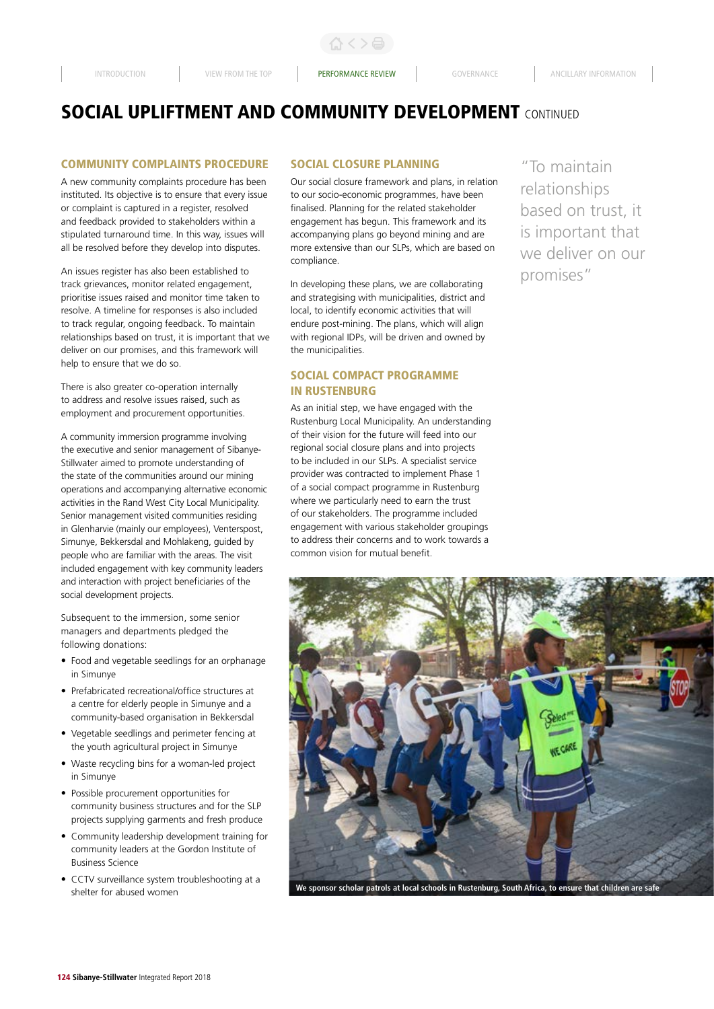ひくと骨

# **SOCIAL UPLIFTMENT AND COMMUNITY DEVELOPMENT CONTINUED**

### COMMUNITY COMPLAINTS PROCEDURE

A new community complaints procedure has been instituted. Its objective is to ensure that every issue or complaint is captured in a register, resolved and feedback provided to stakeholders within a stipulated turnaround time. In this way, issues will all be resolved before they develop into disputes.

An issues register has also been established to track grievances, monitor related engagement, prioritise issues raised and monitor time taken to resolve. A timeline for responses is also included to track regular, ongoing feedback. To maintain relationships based on trust, it is important that we deliver on our promises, and this framework will help to ensure that we do so.

There is also greater co-operation internally to address and resolve issues raised, such as employment and procurement opportunities.

A community immersion programme involving the executive and senior management of Sibanye-Stillwater aimed to promote understanding of the state of the communities around our mining operations and accompanying alternative economic activities in the Rand West City Local Municipality. Senior management visited communities residing in Glenharvie (mainly our employees), Venterspost, Simunye, Bekkersdal and Mohlakeng, guided by people who are familiar with the areas. The visit included engagement with key community leaders and interaction with project beneficiaries of the social development projects.

Subsequent to the immersion, some senior managers and departments pledged the following donations:

- Food and vegetable seedlings for an orphanage in Simunye
- Prefabricated recreational/office structures at a centre for elderly people in Simunye and a community-based organisation in Bekkersdal
- Vegetable seedlings and perimeter fencing at the youth agricultural project in Simunye
- Waste recycling bins for a woman-led project in Simunye
- Possible procurement opportunities for community business structures and for the SLP projects supplying garments and fresh produce
- Community leadership development training for community leaders at the Gordon Institute of Business Science
- CCTV surveillance system troubleshooting at a shelter for abused women

## SOCIAL CLOSURE PLANNING

Our social closure framework and plans, in relation to our socio-economic programmes, have been finalised. Planning for the related stakeholder engagement has begun. This framework and its accompanying plans go beyond mining and are more extensive than our SLPs, which are based on compliance.

In developing these plans, we are collaborating and strategising with municipalities, district and local, to identify economic activities that will endure post-mining. The plans, which will align with regional IDPs, will be driven and owned by the municipalities.

# SOCIAL COMPACT PROGRAMME IN RUSTENBURG

As an initial step, we have engaged with the Rustenburg Local Municipality. An understanding of their vision for the future will feed into our regional social closure plans and into projects to be included in our SLPs. A specialist service provider was contracted to implement Phase 1 of a social compact programme in Rustenburg where we particularly need to earn the trust of our stakeholders. The programme included engagement with various stakeholder groupings to address their concerns and to work towards a common vision for mutual benefit.

"To maintain relationships based on trust, it is important that we deliver on our promises"



**We sponsor scholar patrols at local schools in Rustenburg, South Africa, to ensure that children are safe**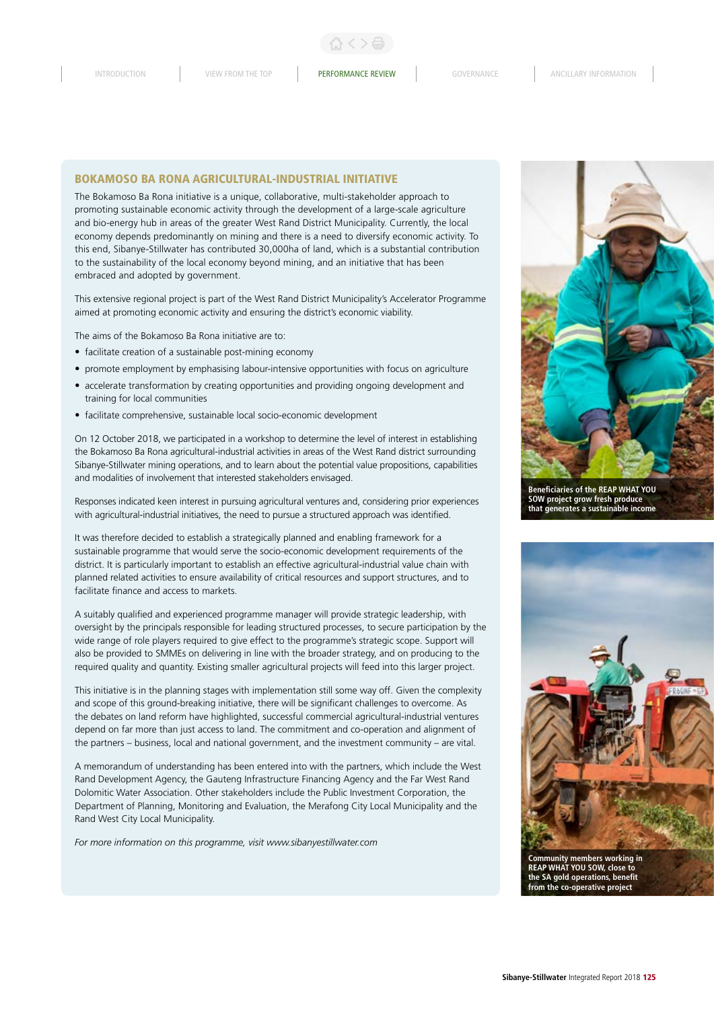### BOKAMOSO BA RONA AGRICULTURAL-INDUSTRIAL INITIATIVE

The Bokamoso Ba Rona initiative is a unique, collaborative, multi-stakeholder approach to promoting sustainable economic activity through the development of a large-scale agriculture and bio-energy hub in areas of the greater West Rand District Municipality. Currently, the local economy depends predominantly on mining and there is a need to diversify economic activity. To this end, Sibanye-Stillwater has contributed 30,000ha of land, which is a substantial contribution to the sustainability of the local economy beyond mining, and an initiative that has been embraced and adopted by government.

This extensive regional project is part of the West Rand District Municipality's Accelerator Programme aimed at promoting economic activity and ensuring the district's economic viability.

The aims of the Bokamoso Ba Rona initiative are to:

- facilitate creation of a sustainable post-mining economy
- promote employment by emphasising labour-intensive opportunities with focus on agriculture
- accelerate transformation by creating opportunities and providing ongoing development and training for local communities
- facilitate comprehensive, sustainable local socio-economic development

On 12 October 2018, we participated in a workshop to determine the level of interest in establishing the Bokamoso Ba Rona agricultural-industrial activities in areas of the West Rand district surrounding Sibanye-Stillwater mining operations, and to learn about the potential value propositions, capabilities and modalities of involvement that interested stakeholders envisaged.

Responses indicated keen interest in pursuing agricultural ventures and, considering prior experiences with agricultural-industrial initiatives, the need to pursue a structured approach was identified.

It was therefore decided to establish a strategically planned and enabling framework for a sustainable programme that would serve the socio-economic development requirements of the district. It is particularly important to establish an effective agricultural-industrial value chain with planned related activities to ensure availability of critical resources and support structures, and to facilitate finance and access to markets.

A suitably qualified and experienced programme manager will provide strategic leadership, with oversight by the principals responsible for leading structured processes, to secure participation by the wide range of role players required to give effect to the programme's strategic scope. Support will also be provided to SMMEs on delivering in line with the broader strategy, and on producing to the required quality and quantity. Existing smaller agricultural projects will feed into this larger project.

This initiative is in the planning stages with implementation still some way off. Given the complexity and scope of this ground-breaking initiative, there will be significant challenges to overcome. As the debates on land reform have highlighted, successful commercial agricultural-industrial ventures depend on far more than just access to land. The commitment and co-operation and alignment of the partners – business, local and national government, and the investment community – are vital.

A memorandum of understanding has been entered into with the partners, which include the West Rand Development Agency, the Gauteng Infrastructure Financing Agency and the Far West Rand Dolomitic Water Association. Other stakeholders include the Public Investment Corporation, the Department of Planning, Monitoring and Evaluation, the Merafong City Local Municipality and the Rand West City Local Municipality.

*For more information on this programme, visit www.sibanyestillwater.com*



**Beneficiaries of the REAP WHAT YOU SOW project grow fresh produce that generates a sustainable income**



**Community members working in REAP WHAT YOU SOW, close to the SA gold operations, benefit from the co-operative project**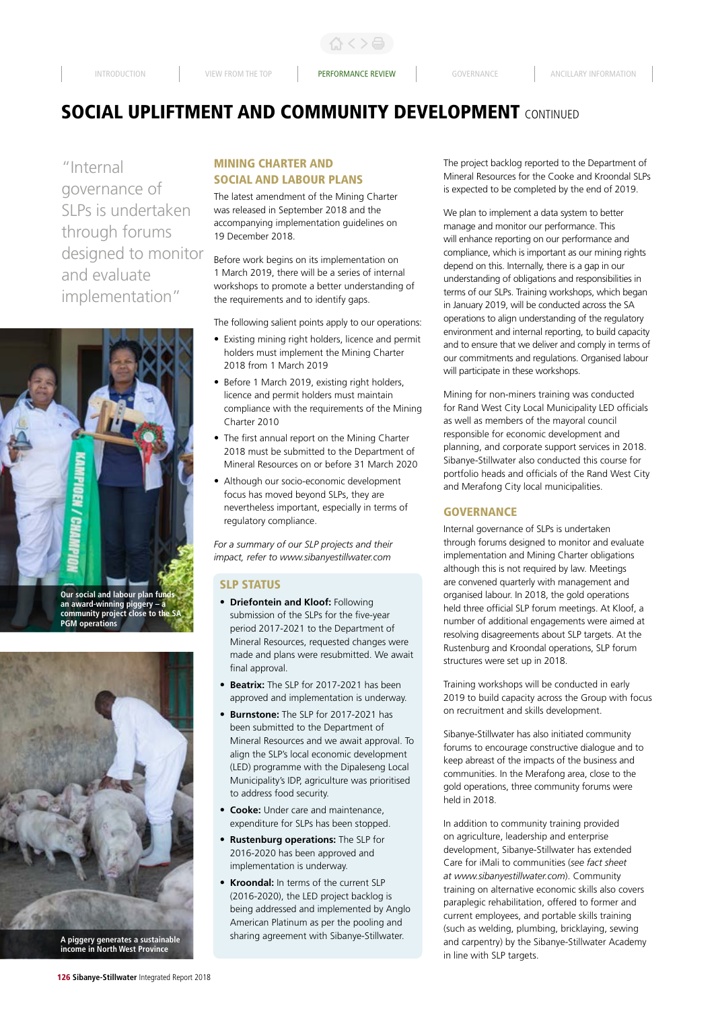INTRODUCTION VIEW FROM THE TOP **PERFORMANCE REVIEW** GOVERNANCE ANCILLARY INFORMATION

合く>台

# **SOCIAL UPLIFTMENT AND COMMUNITY DEVELOPMENT CONTINUED**

"Internal governance of SLPs is undertaken through forums designed to monitor and evaluate implementation"



**an award-winning piggery – a community project close to the SA PGM operations**



**income in North West Province**

# MINING CHARTER AND SOCIAL AND LABOUR PLANS

The latest amendment of the Mining Charter was released in September 2018 and the accompanying implementation guidelines on 19 December 2018.

Before work begins on its implementation on 1 March 2019, there will be a series of internal workshops to promote a better understanding of the requirements and to identify gaps.

The following salient points apply to our operations:

- Existing mining right holders, licence and permit holders must implement the Mining Charter 2018 from 1 March 2019
- Before 1 March 2019, existing right holders, licence and permit holders must maintain compliance with the requirements of the Mining Charter 2010
- The first annual report on the Mining Charter 2018 must be submitted to the Department of Mineral Resources on or before 31 March 2020
- Although our socio-economic development focus has moved beyond SLPs, they are nevertheless important, especially in terms of regulatory compliance.

*For a summary of our SLP projects and their impact, refer to www.sibanyestillwater.com*

#### SLP STATUS

- **Driefontein and Kloof:** Following submission of the SLPs for the five-year period 2017-2021 to the Department of Mineral Resources, requested changes were made and plans were resubmitted. We await final approval.
- **Beatrix:** The SLP for 2017-2021 has been approved and implementation is underway.
- **Burnstone:** The SLP for 2017-2021 has been submitted to the Department of Mineral Resources and we await approval. To align the SLP's local economic development (LED) programme with the Dipaleseng Local Municipality's IDP, agriculture was prioritised to address food security.
- **Cooke:** Under care and maintenance, expenditure for SLPs has been stopped.
- **Rustenburg operations:** The SLP for 2016-2020 has been approved and implementation is underway.
- **Kroondal:** In terms of the current SLP (2016-2020), the LED project backlog is being addressed and implemented by Anglo American Platinum as per the pooling and sharing agreement with Sibanye-Stillwater. **A piggery generates a sustainable**

The project backlog reported to the Department of Mineral Resources for the Cooke and Kroondal SLPs is expected to be completed by the end of 2019.

We plan to implement a data system to better manage and monitor our performance. This will enhance reporting on our performance and compliance, which is important as our mining rights depend on this. Internally, there is a gap in our understanding of obligations and responsibilities in terms of our SLPs. Training workshops, which began in January 2019, will be conducted across the SA operations to align understanding of the regulatory environment and internal reporting, to build capacity and to ensure that we deliver and comply in terms of our commitments and regulations. Organised labour will participate in these workshops.

Mining for non-miners training was conducted for Rand West City Local Municipality LED officials as well as members of the mayoral council responsible for economic development and planning, and corporate support services in 2018. Sibanye-Stillwater also conducted this course for portfolio heads and officials of the Rand West City and Merafong City local municipalities.

## **GOVERNANCE**

Internal governance of SLPs is undertaken through forums designed to monitor and evaluate implementation and Mining Charter obligations although this is not required by law. Meetings are convened quarterly with management and organised labour. In 2018, the gold operations held three official SLP forum meetings. At Kloof, a number of additional engagements were aimed at resolving disagreements about SLP targets. At the Rustenburg and Kroondal operations, SLP forum structures were set up in 2018.

Training workshops will be conducted in early 2019 to build capacity across the Group with focus on recruitment and skills development.

Sibanye-Stillwater has also initiated community forums to encourage constructive dialogue and to keep abreast of the impacts of the business and communities. In the Merafong area, close to the gold operations, three community forums were held in 2018.

In addition to community training provided on agriculture, leadership and enterprise development, Sibanye-Stillwater has extended Care for iMali to communities (*see fact sheet at www.sibanyestillwater.com*). Community training on alternative economic skills also covers paraplegic rehabilitation, offered to former and current employees, and portable skills training (such as welding, plumbing, bricklaying, sewing and carpentry) by the Sibanye-Stillwater Academy in line with SLP targets.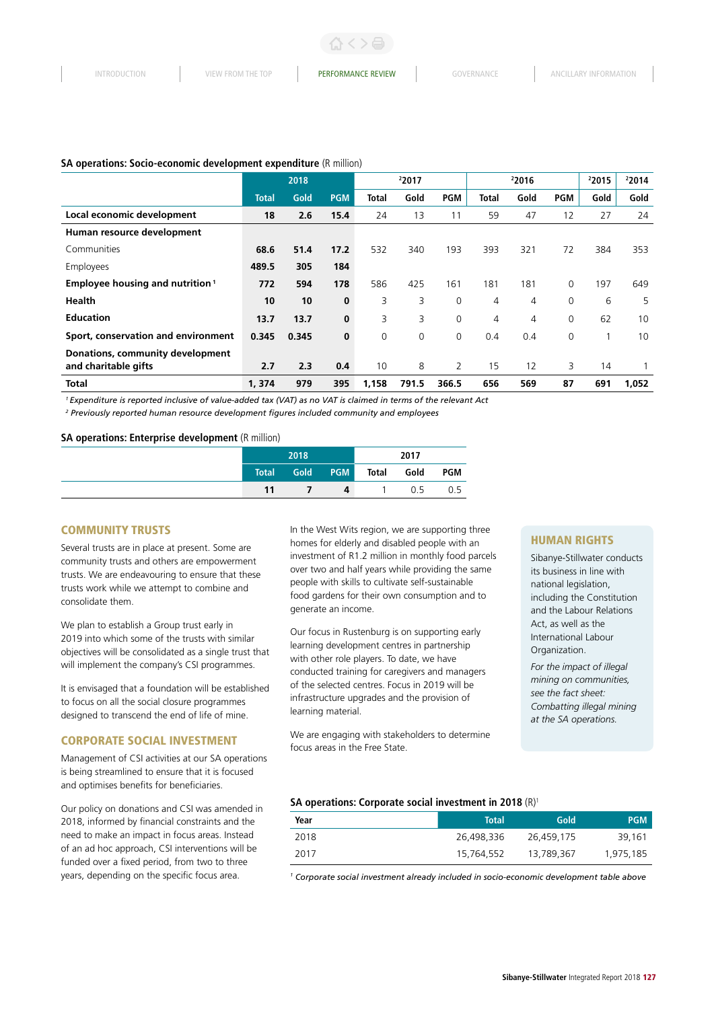#### **SA operations: Socio-economic development expenditure** (R million)

|                                                          |              | 2018  |            |       | 22017 |             |              | 22016 |             | 22015 | 22014 |
|----------------------------------------------------------|--------------|-------|------------|-------|-------|-------------|--------------|-------|-------------|-------|-------|
|                                                          | <b>Total</b> | Gold  | <b>PGM</b> | Total | Gold  | <b>PGM</b>  | <b>Total</b> | Gold  | <b>PGM</b>  | Gold  | Gold  |
| Local economic development                               | 18           | 2.6   | 15.4       | 24    | 13    | 11          | 59           | 47    | 12          | 27    | 24    |
| Human resource development                               |              |       |            |       |       |             |              |       |             |       |       |
| Communities                                              | 68.6         | 51.4  | 17.2       | 532   | 340   | 193         | 393          | 321   | 72          | 384   | 353   |
| Employees                                                | 489.5        | 305   | 184        |       |       |             |              |       |             |       |       |
| <b>Employee housing and nutrition</b> <sup>1</sup>       | 772          | 594   | 178        | 586   | 425   | 161         | 181          | 181   | 0           | 197   | 649   |
| <b>Health</b>                                            | 10           | 10    | $\bf{0}$   | 3     | 3     | $\mathbf 0$ | 4            | 4     | $\mathbf 0$ | 6     | 5     |
| <b>Education</b>                                         | 13.7         | 13.7  | $\bf{0}$   | 3     | 3     | $\mathbf 0$ | 4            | 4     | 0           | 62    | 10    |
| Sport, conservation and environment                      | 0.345        | 0.345 | $\bf{0}$   | 0     | 0     | 0           | 0.4          | 0.4   | $\mathbf 0$ |       | 10    |
| Donations, community development<br>and charitable gifts | 2.7          | 2.3   | 0.4        | 10    | 8     | 2           | 15           | 12    | 3           | 14    |       |
| <b>Total</b>                                             | 1,374        | 979   | 395        | 1,158 | 791.5 | 366.5       | 656          | 569   | 87          | 691   | 1,052 |

*1 Expenditure is reported inclusive of value-added tax (VAT) as no VAT is claimed in terms of the relevant Act*

<sup>2</sup> Previously reported human resource development figures included community and employees

## **SA operations: Enterprise development** (R million)

| 2018                        |                  |            | 2017  |      |            |
|-----------------------------|------------------|------------|-------|------|------------|
| $\sqrt{1}$ Total $\sqrt{1}$ | Gold <b>Cold</b> | <b>PGM</b> | Total | Gold | <b>PGM</b> |
| 11                          |                  | 4          |       | 0.5  | 0.5        |

#### COMMUNITY TRUSTS

Several trusts are in place at present. Some are community trusts and others are empowerment trusts. We are endeavouring to ensure that these trusts work while we attempt to combine and consolidate them.

We plan to establish a Group trust early in 2019 into which some of the trusts with similar objectives will be consolidated as a single trust that will implement the company's CSI programmes.

It is envisaged that a foundation will be established to focus on all the social closure programmes designed to transcend the end of life of mine.

#### CORPORATE SOCIAL INVESTMENT

Management of CSI activities at our SA operations is being streamlined to ensure that it is focused and optimises benefits for beneficiaries.

Our policy on donations and CSI was amended in 2018, informed by financial constraints and the need to make an impact in focus areas. Instead of an ad hoc approach, CSI interventions will be funded over a fixed period, from two to three years, depending on the specific focus area.

In the West Wits region, we are supporting three homes for elderly and disabled people with an investment of R1.2 million in monthly food parcels over two and half years while providing the same people with skills to cultivate self-sustainable food gardens for their own consumption and to generate an income.

Our focus in Rustenburg is on supporting early learning development centres in partnership with other role players. To date, we have conducted training for caregivers and managers of the selected centres. Focus in 2019 will be infrastructure upgrades and the provision of learning material.

We are engaging with stakeholders to determine focus areas in the Free State.

#### HUMAN RIGHTS

Sibanye-Stillwater conducts its business in line with national legislation, including the Constitution and the Labour Relations Act, as well as the International Labour Organization.

*For the impact of illegal mining on communities, see the fact sheet: Combatting illegal mining at the SA operations.*

#### **SA operations: Corporate social investment in 2018** (R)<sup>1</sup>

| Year | <b>Total</b> | Gold       | <b>PGM</b> |
|------|--------------|------------|------------|
| 2018 | 26,498,336   | 26,459,175 | 39,161     |
| 2017 | 15,764,552   | 13,789,367 | 1,975,185  |

<sup>1</sup> Corporate social investment already included in socio-economic development table above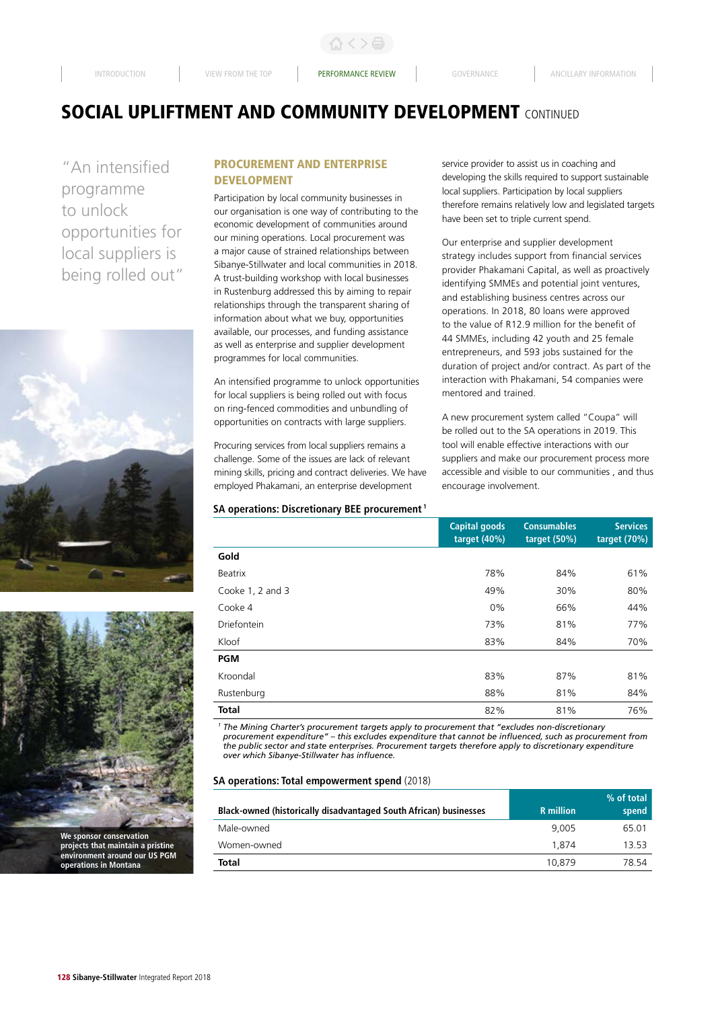# **SOCIAL UPLIFTMENT AND COMMUNITY DEVELOPMENT CONTINUED**

"An intensified programme to unlock opportunities for local suppliers is being rolled out"





## PROCUREMENT AND ENTERPRISE DEVELOPMENT

Participation by local community businesses in our organisation is one way of contributing to the economic development of communities around our mining operations. Local procurement was a major cause of strained relationships between Sibanye-Stillwater and local communities in 2018. A trust-building workshop with local businesses in Rustenburg addressed this by aiming to repair relationships through the transparent sharing of information about what we buy, opportunities available, our processes, and funding assistance as well as enterprise and supplier development programmes for local communities.

An intensified programme to unlock opportunities for local suppliers is being rolled out with focus on ring-fenced commodities and unbundling of opportunities on contracts with large suppliers.

Procuring services from local suppliers remains a challenge. Some of the issues are lack of relevant mining skills, pricing and contract deliveries. We have employed Phakamani, an enterprise development

#### **SA operations: Discretionary BEE procurement 1**

service provider to assist us in coaching and developing the skills required to support sustainable local suppliers. Participation by local suppliers therefore remains relatively low and legislated targets have been set to triple current spend.

Our enterprise and supplier development strategy includes support from financial services provider Phakamani Capital, as well as proactively identifying SMMEs and potential joint ventures, and establishing business centres across our operations. In 2018, 80 loans were approved to the value of R12.9 million for the benefit of 44 SMMEs, including 42 youth and 25 female entrepreneurs, and 593 jobs sustained for the duration of project and/or contract. As part of the interaction with Phakamani, 54 companies were mentored and trained.

A new procurement system called "Coupa" will be rolled out to the SA operations in 2019. This tool will enable effective interactions with our suppliers and make our procurement process more accessible and visible to our communities , and thus encourage involvement.

|                    | <b>Capital goods</b><br>target $(40%)$ | <b>Consumables</b><br>target $(50%)$ | <b>Services</b><br>target $(70%)$ |
|--------------------|----------------------------------------|--------------------------------------|-----------------------------------|
| Gold               |                                        |                                      |                                   |
| Beatrix            | 78%                                    | 84%                                  | 61%                               |
| Cooke 1, 2 and 3   | 49%                                    | 30%                                  | 80%                               |
| Cooke 4            | $0\%$                                  | 66%                                  | 44%                               |
| <b>Driefontein</b> | 73%                                    | 81%                                  | 77%                               |
| Kloof              | 83%                                    | 84%                                  | 70%                               |
| <b>PGM</b>         |                                        |                                      |                                   |
| Kroondal           | 83%                                    | 87%                                  | 81%                               |
| Rustenburg         | 88%                                    | 81%                                  | 84%                               |
| <b>Total</b>       | 82%                                    | 81%                                  | 76%                               |

*<sup>1</sup> The Mining Charter's procurement targets apply to procurement that "excludes non-discretionary procurement expenditure" – this excludes expenditure that cannot be influenced, such as procurement from the public sector and state enterprises. Procurement targets therefore apply to discretionary expenditure over which Sibanye-Stillwater has influence.*

## **SA operations: Total empowerment spend** (2018)

|                                                                          |                  | $%$ of total |
|--------------------------------------------------------------------------|------------------|--------------|
| <b>Black-owned (historically disadvantaged South African) businesses</b> | <b>R</b> million | spend        |
| Male-owned                                                               | 9.005            | 65.01        |
| Women-owned                                                              | 1.874            | 13.53        |
| Total                                                                    | 10.879           | 78 54        |